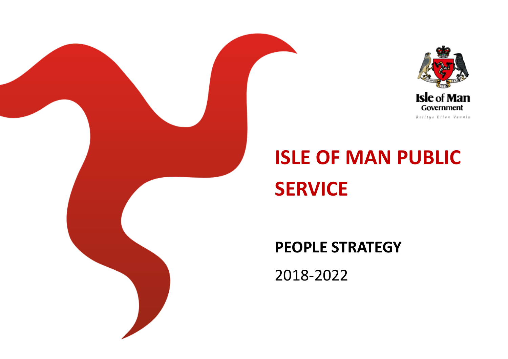



# **ISLE OF MAN PUBLIC SERVICE**

## **PEOPLE STRATEGY**

2018-2022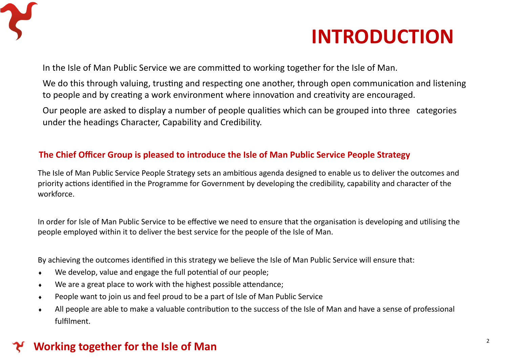

## **INTRODUCTION**

In the Isle of Man Public Service we are committed to working together for the Isle of Man.

We do this through valuing, trusting and respecting one another, through open communication and listening to people and by creating a work environment where innovation and creativity are encouraged.

Our people are asked to display a number of people qualities which can be grouped into three categories under the headings Character, Capability and Credibility.

#### **The Chief Officer Group is pleased to introduce the Isle of Man Public Service People Strategy**

The Isle of Man Public Service People Strategy sets an ambitious agenda designed to enable us to deliver the outcomes and priority actions identified in the Programme for Government by developing the credibility, capability and character of the workforce.

In order for Isle of Man Public Service to be effective we need to ensure that the organisation is developing and utilising the people employed within it to deliver the best service for the people of the Isle of Man.

By achieving the outcomes identified in this strategy we believe the Isle of Man Public Service will ensure that:

- We develop, value and engage the full potential of our people;
- We are a great place to work with the highest possible attendance;
- People want to join us and feel proud to be a part of Isle of Man Public Service
- All people are able to make a valuable contribution to the success of the Isle of Man and have a sense of professional fulfilment.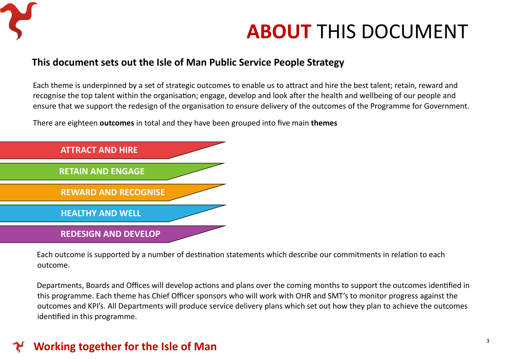

## **ABOUT** THIS DOCUMENT

#### **This document sets out the Isle of Man Public Service People Strategy**

Each theme is underpinned by a set of strategic outcomes to enable us to attract and hire the best talent; retain, reward and recognise the top talent within the organisation; engage, develop and look after the health and wellbeing of our people and ensure that we support the redesign of the organisation to ensure delivery of the outcomes of the Programme for Government.

There are eighteen **outcomes** in total and they have been grouped into five main **themes**



Each outcome is supported by a number of destination statements which describe our commitments in relation to each outcome.

Departments, Boards and Offices will develop actions and plans over the coming months to support the outcomes identified in this programme. Each theme has Chief Officer sponsors who will work with OHR and SMT's to monitor progress against the outcomes and KPI's. All Departments will produce service delivery plans which set out how they plan to achieve the outcomes identified in this programme.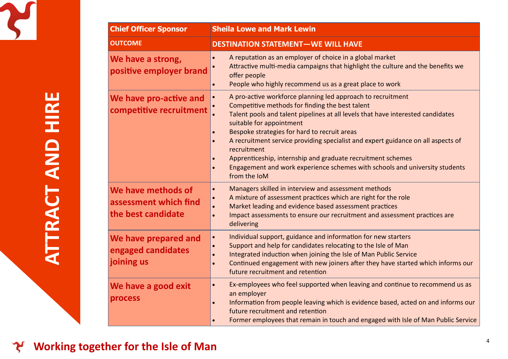

| <b>Chief Officer Sponsor</b>                                      | <b>Sheila Lowe and Mark Lewin</b>                                                                                                                                                                                                                                                                                                                                                                                                                                                                                                                                                                               |
|-------------------------------------------------------------------|-----------------------------------------------------------------------------------------------------------------------------------------------------------------------------------------------------------------------------------------------------------------------------------------------------------------------------------------------------------------------------------------------------------------------------------------------------------------------------------------------------------------------------------------------------------------------------------------------------------------|
| <b>OUTCOME</b>                                                    | <b>DESTINATION STATEMENT-WE WILL HAVE</b>                                                                                                                                                                                                                                                                                                                                                                                                                                                                                                                                                                       |
| We have a strong,<br>positive employer brand                      | A reputation as an employer of choice in a global market<br>$\bullet$<br>Attractive multi-media campaigns that highlight the culture and the benefits we<br>offer people<br>People who highly recommend us as a great place to work<br>$\bullet$                                                                                                                                                                                                                                                                                                                                                                |
| We have pro-active and<br>competitive recruitment                 | A pro-active workforce planning led approach to recruitment<br>$\bullet$<br>Competitive methods for finding the best talent<br>Talent pools and talent pipelines at all levels that have interested candidates<br>suitable for appointment<br>Bespoke strategies for hard to recruit areas<br>$\bullet$<br>A recruitment service providing specialist and expert guidance on all aspects of<br>$\bullet$<br>recruitment<br>Apprenticeship, internship and graduate recruitment schemes<br>$\bullet$<br>Engagement and work experience schemes with schools and university students<br>$\bullet$<br>from the IoM |
| We have methods of<br>assessment which find<br>the best candidate | Managers skilled in interview and assessment methods<br>$\bullet$<br>A mixture of assessment practices which are right for the role<br>Market leading and evidence based assessment practices<br>Impact assessments to ensure our recruitment and assessment practices are<br>$\bullet$<br>delivering                                                                                                                                                                                                                                                                                                           |
| We have prepared and<br>engaged candidates<br>joining us          | Individual support, guidance and information for new starters<br>$\bullet$<br>Support and help for candidates relocating to the Isle of Man<br>$\bullet$<br>Integrated induction when joining the Isle of Man Public Service<br>$\bullet$<br>Continued engagement with new joiners after they have started which informs our<br>$\bullet$<br>future recruitment and retention                                                                                                                                                                                                                                   |
| We have a good exit<br>process                                    | Ex-employees who feel supported when leaving and continue to recommend us as<br>$\bullet$<br>an employer<br>Information from people leaving which is evidence based, acted on and informs our<br>$\bullet$<br>future recruitment and retention<br>Former employees that remain in touch and engaged with Isle of Man Public Service<br>$\bullet$                                                                                                                                                                                                                                                                |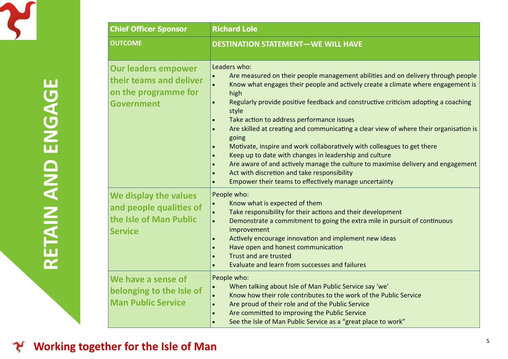

| <b>DESTINATION STATEMENT-WE WILL HAVE</b>                                                                                                                                                                                                                                                                                                                                                                                                                                                                                                                                                                                                                                                                                                                                                             |
|-------------------------------------------------------------------------------------------------------------------------------------------------------------------------------------------------------------------------------------------------------------------------------------------------------------------------------------------------------------------------------------------------------------------------------------------------------------------------------------------------------------------------------------------------------------------------------------------------------------------------------------------------------------------------------------------------------------------------------------------------------------------------------------------------------|
| Leaders who:<br>Are measured on their people management abilities and on delivery through people<br>Know what engages their people and actively create a climate where engagement is<br>high<br>Regularly provide positive feedback and constructive criticism adopting a coaching<br>style<br>Take action to address performance issues<br>Are skilled at creating and communicating a clear view of where their organisation is<br>$\bullet$<br>going<br>Motivate, inspire and work collaboratively with colleagues to get there<br>Keep up to date with changes in leadership and culture<br>Are aware of and actively manage the culture to maximise delivery and engagement<br>$\bullet$<br>Act with discretion and take responsibility<br>Empower their teams to effectively manage uncertainty |
| People who:<br>Know what is expected of them<br>Take responsibility for their actions and their development<br>Demonstrate a commitment to going the extra mile in pursuit of continuous<br>$\bullet$<br>improvement<br>Actively encourage innovation and implement new ideas<br>Have open and honest communication<br>Trust and are trusted<br>Evaluate and learn from successes and failures                                                                                                                                                                                                                                                                                                                                                                                                        |
| People who:<br>When talking about Isle of Man Public Service say 'we'<br>Know how their role contributes to the work of the Public Service<br>Are proud of their role and of the Public Service<br>Are committed to improving the Public Service<br>$\bullet$<br>See the Isle of Man Public Service as a "great place to work"                                                                                                                                                                                                                                                                                                                                                                                                                                                                        |
| their teams and deliver<br>and people qualities of<br>belonging to the Isle of                                                                                                                                                                                                                                                                                                                                                                                                                                                                                                                                                                                                                                                                                                                        |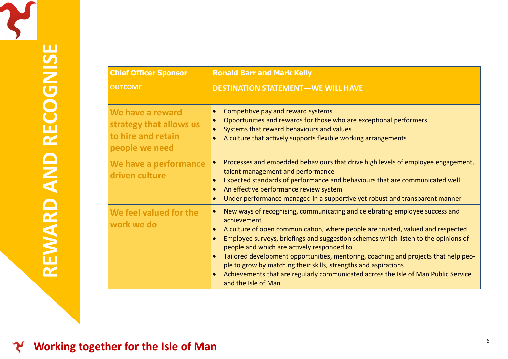| <b>Chief Officer Sponsor</b>                                                        | <b>Ronald Barr and Mark Kelly</b>                                                                                                                                                                                                                                                                                                                                                                                                                                                                                                                                                                                                                         |
|-------------------------------------------------------------------------------------|-----------------------------------------------------------------------------------------------------------------------------------------------------------------------------------------------------------------------------------------------------------------------------------------------------------------------------------------------------------------------------------------------------------------------------------------------------------------------------------------------------------------------------------------------------------------------------------------------------------------------------------------------------------|
| <b>OUTCOME</b>                                                                      | <b>DESTINATION STATEMENT-WE WILL HAVE</b>                                                                                                                                                                                                                                                                                                                                                                                                                                                                                                                                                                                                                 |
| We have a reward<br>strategy that allows us<br>to hire and retain<br>people we need | Competitive pay and reward systems<br>$\bullet$<br>Opportunities and rewards for those who are exceptional performers<br>$\bullet$<br>Systems that reward behaviours and values<br>A culture that actively supports flexible working arrangements                                                                                                                                                                                                                                                                                                                                                                                                         |
| We have a performance<br>driven culture                                             | Processes and embedded behaviours that drive high levels of employee engagement,<br>$\bullet$<br>talent management and performance<br>Expected standards of performance and behaviours that are communicated well<br>An effective performance review system<br>$\bullet$<br>Under performance managed in a supportive yet robust and transparent manner<br>$\bullet$                                                                                                                                                                                                                                                                                      |
| We feel valued for the<br>work we do                                                | New ways of recognising, communicating and celebrating employee success and<br>$\bullet$<br>achievement<br>A culture of open communication, where people are trusted, valued and respected<br>$\bullet$<br>Employee surveys, briefings and suggestion schemes which listen to the opinions of<br>$\bullet$<br>people and which are actively responded to<br>Tailored development opportunities, mentoring, coaching and projects that help peo-<br>$\bullet$<br>ple to grow by matching their skills, strengths and aspirations<br>Achievements that are regularly communicated across the Isle of Man Public Service<br>$\bullet$<br>and the Isle of Man |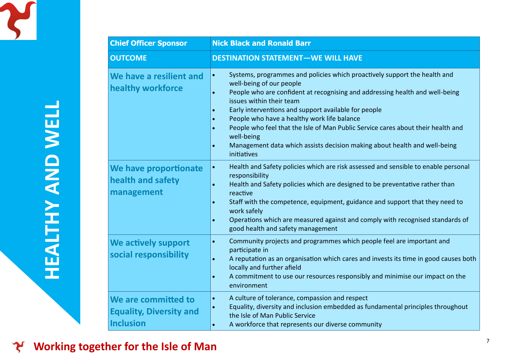

| <b>Chief Officer Sponsor</b>                                       | <b>Nick Black and Ronald Barr</b>                                                                                                                                                                                                                                                                                                                                                                                                                                                                                                                                                       |
|--------------------------------------------------------------------|-----------------------------------------------------------------------------------------------------------------------------------------------------------------------------------------------------------------------------------------------------------------------------------------------------------------------------------------------------------------------------------------------------------------------------------------------------------------------------------------------------------------------------------------------------------------------------------------|
| <b>OUTCOME</b>                                                     | <b>DESTINATION STATEMENT-WE WILL HAVE</b>                                                                                                                                                                                                                                                                                                                                                                                                                                                                                                                                               |
| We have a resilient and<br>healthy workforce                       | Systems, programmes and policies which proactively support the health and<br>$\bullet$<br>well-being of our people<br>People who are confident at recognising and addressing health and well-being<br>$\bullet$<br>issues within their team<br>Early interventions and support available for people<br>People who have a healthy work life balance<br>$\bullet$<br>People who feel that the Isle of Man Public Service cares about their health and<br>$\bullet$<br>well-being<br>Management data which assists decision making about health and well-being<br>$\bullet$<br>initiatives |
| We have proportionate<br>health and safety<br>management           | Health and Safety policies which are risk assessed and sensible to enable personal<br>$\bullet$<br>responsibility<br>Health and Safety policies which are designed to be preventative rather than<br>$\bullet$<br>reactive<br>Staff with the competence, equipment, guidance and support that they need to<br>$\bullet$<br>work safely<br>Operations which are measured against and comply with recognised standards of<br>$\bullet$<br>good health and safety management                                                                                                               |
| We actively support<br>social responsibility                       | Community projects and programmes which people feel are important and<br>$\bullet$<br>participate in<br>A reputation as an organisation which cares and invests its time in good causes both<br>$\bullet$<br>locally and further afield<br>A commitment to use our resources responsibly and minimise our impact on the<br>$\bullet$<br>environment                                                                                                                                                                                                                                     |
| We are committed to<br><b>Equality, Diversity and</b><br>Inclusion | A culture of tolerance, compassion and respect<br>$\bullet$<br>Equality, diversity and inclusion embedded as fundamental principles throughout<br>the Isle of Man Public Service<br>A workforce that represents our diverse community<br>$\bullet$                                                                                                                                                                                                                                                                                                                                      |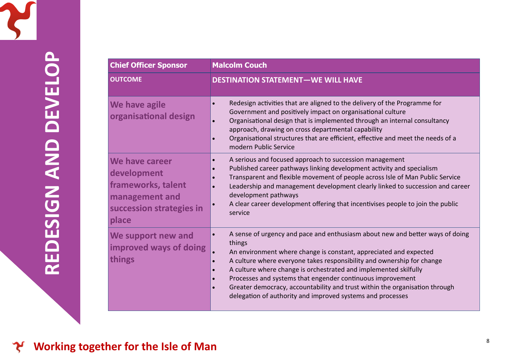

| <b>Chief Officer Sponsor</b>                                                                               | <b>Malcolm Couch</b>                                                                                                                                                                                                                                                                                                                                                                                                                                                                                                                                                      |
|------------------------------------------------------------------------------------------------------------|---------------------------------------------------------------------------------------------------------------------------------------------------------------------------------------------------------------------------------------------------------------------------------------------------------------------------------------------------------------------------------------------------------------------------------------------------------------------------------------------------------------------------------------------------------------------------|
| <b>OUTCOME</b>                                                                                             | <b>DESTINATION STATEMENT-WE WILL HAVE</b>                                                                                                                                                                                                                                                                                                                                                                                                                                                                                                                                 |
| We have agile<br>organisational design                                                                     | Redesign activities that are aligned to the delivery of the Programme for<br>$\bullet$<br>Government and positively impact on organisational culture<br>Organisational design that is implemented through an internal consultancy<br>$\bullet$<br>approach, drawing on cross departmental capability<br>Organisational structures that are efficient, effective and meet the needs of a<br>$\bullet$<br>modern Public Service                                                                                                                                             |
| We have career<br>development<br>frameworks, talent<br>management and<br>succession strategies in<br>place | A serious and focused approach to succession management<br>$\bullet$<br>Published career pathways linking development activity and specialism<br>Transparent and flexible movement of people across Isle of Man Public Service<br>Leadership and management development clearly linked to succession and career<br>$\bullet$<br>development pathways<br>A clear career development offering that incentivises people to join the public<br>service                                                                                                                        |
| We support new and<br>improved ways of doing<br>things                                                     | A sense of urgency and pace and enthusiasm about new and better ways of doing<br>$\bullet$<br>things<br>An environment where change is constant, appreciated and expected<br>A culture where everyone takes responsibility and ownership for change<br>$\bullet$<br>A culture where change is orchestrated and implemented skilfully<br>$\bullet$<br>Processes and systems that engender continuous improvement<br>$\bullet$<br>Greater democracy, accountability and trust within the organisation through<br>delegation of authority and improved systems and processes |